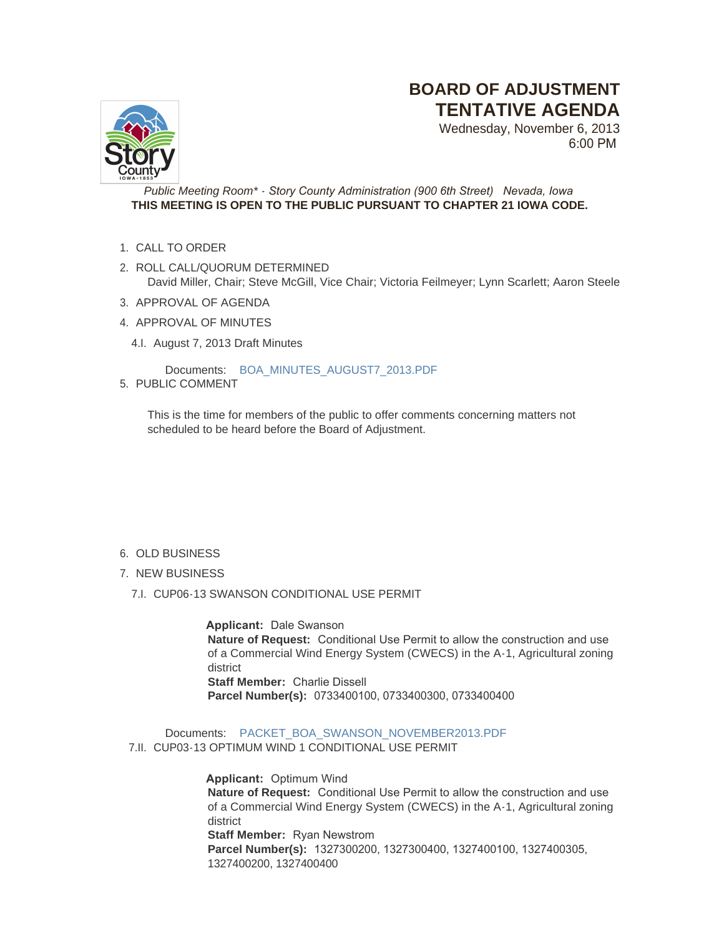## **BOARD OF ADJUSTMENT TENTATIVE AGENDA**



Wednesday, November 6, 2013 6:00 PM

*Public Meeting Room\* - Story County Administration (900 6th Street) Nevada, Iowa* **THIS MEETING IS OPEN TO THE PUBLIC PURSUANT TO CHAPTER 21 IOWA CODE.**

- 1. CALL TO ORDER
- 2. ROLL CALL/QUORUM DETERMINED David Miller, Chair; Steve McGill, Vice Chair; Victoria Feilmeyer; Lynn Scarlett; Aaron Steele
- 3. APPROVAL OF AGENDA
- 4. APPROVAL OF MINUTES
	- 4.I. August 7, 2013 Draft Minutes

Documents: [BOA\\_MINUTES\\_AUGUST7\\_2013.PDF](http://www.storycountyiowa.gov/AgendaCenter/ViewFile/Item/2471?fileID=1788)

5. PUBLIC COMMENT

This is the time for members of the public to offer comments concerning matters not scheduled to be heard before the Board of Adjustment.

- 6. OLD BUSINESS
- 7. NEW BUSINESS
	- 7.I. CUP06-13 SWANSON CONDITIONAL USE PERMIT

 **Applicant:** Dale Swanson **Nature of Request:** Conditional Use Permit to allow the construction and use of a Commercial Wind Energy System (CWECS) in the A-1, Agricultural zoning district **Staff Member:** Charlie Dissell **Parcel Number(s):** 0733400100, 0733400300, 0733400400

Documents: [PACKET\\_BOA\\_SWANSON\\_NOVEMBER2013.PDF](http://www.storycountyiowa.gov/AgendaCenter/ViewFile/Item/2429?fileID=1828) 7.II. CUP03-13 OPTIMUM WIND 1 CONDITIONAL USE PERMIT

> **Applicant:** Optimum Wind **Nature of Request:** Conditional Use Permit to allow the construction and use of a Commercial Wind Energy System (CWECS) in the A-1, Agricultural zoning district **Staff Member:** Ryan Newstrom **Parcel Number(s):** 1327300200, 1327300400, 1327400100, 1327400305, 1327400200, 1327400400